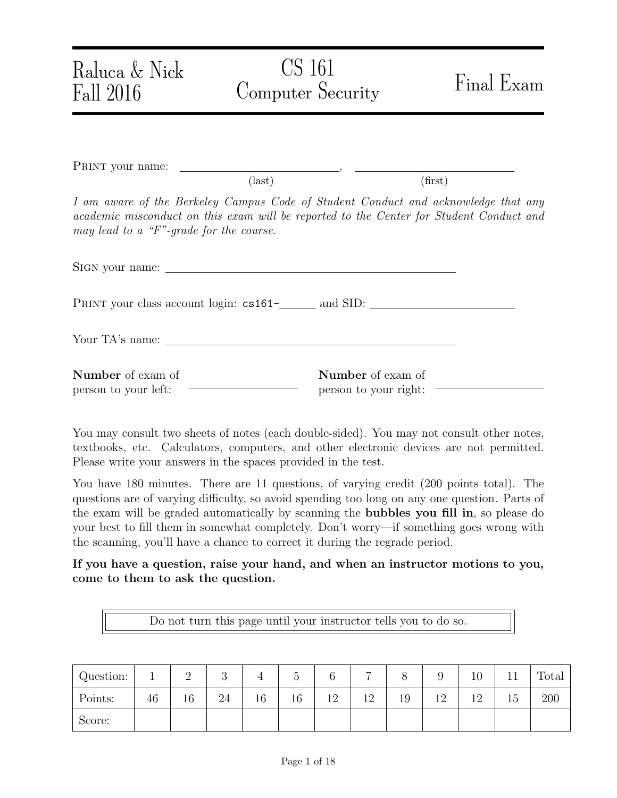| Raluca & Nick<br>Fall 2016                       | CS 161<br>Computer Security                                                                                                                                                   | Final Exam |
|--------------------------------------------------|-------------------------------------------------------------------------------------------------------------------------------------------------------------------------------|------------|
|                                                  |                                                                                                                                                                               |            |
|                                                  | $\text{(last)}$                                                                                                                                                               | (first)    |
| may lead to a "F"-grade for the course.          | I am aware of the Berkeley Campus Code of Student Conduct and acknowledge that any<br>academic misconduct on this exam will be reported to the Center for Student Conduct and |            |
|                                                  |                                                                                                                                                                               |            |
|                                                  |                                                                                                                                                                               |            |
|                                                  |                                                                                                                                                                               |            |
| <b>Number</b> of exam of<br>person to your left: | <b>Number</b> of exam of<br>person to your right:                                                                                                                             |            |

You may consult two sheets of notes (each double-sided). You may not consult other notes, textbooks, etc. Calculators, computers, and other electronic devices are not permitted. Please write your answers in the spaces provided in the test.

You have 180 minutes. There are 11 questions, of varying credit (200 points total). The questions are of varying difficulty, so avoid spending too long on any one question. Parts of the exam will be graded automatically by scanning the bubbles you fill in, so please do your best to fill them in somewhat completely. Don't worry—if something goes wrong with the scanning, you'll have a chance to correct it during the regrade period.

If you have a question, raise your hand, and when an instructor motions to you, come to them to ask the question.

Do not turn this page until your instructor tells you to do so.

| Question: |    | ↵  | ◡  |    |    |                   | ⇁  |    |    | $10\,$ |                  | Total |
|-----------|----|----|----|----|----|-------------------|----|----|----|--------|------------------|-------|
| Points:   | 46 | 16 | 24 | 16 | 16 | $1^{\circ}$<br>⊥∠ | 12 | 19 | ∣ີ |        | 15 <sup>15</sup> | 200   |
| Score:    |    |    |    |    |    |                   |    |    |    |        |                  |       |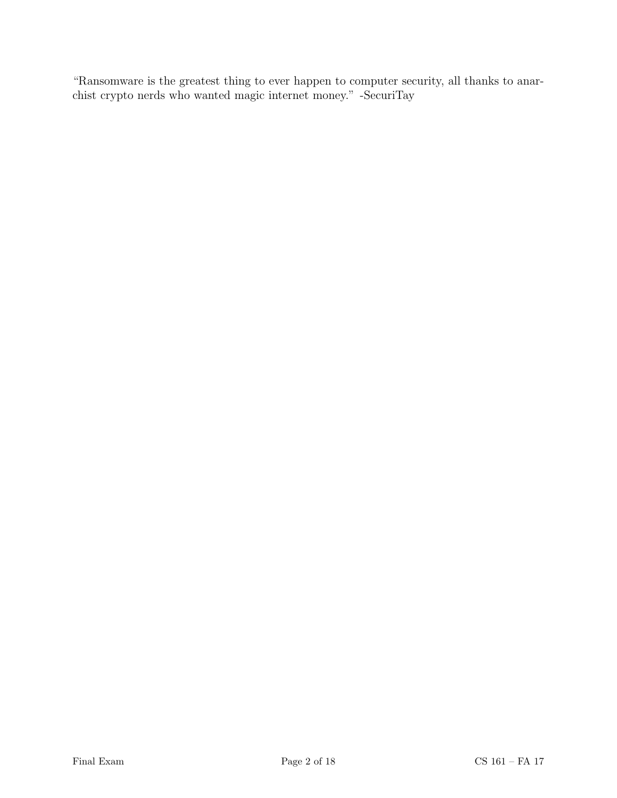"Ransomware is the greatest thing to ever happen to computer security, all thanks to anarchist crypto nerds who wanted magic internet money." -SecuriTay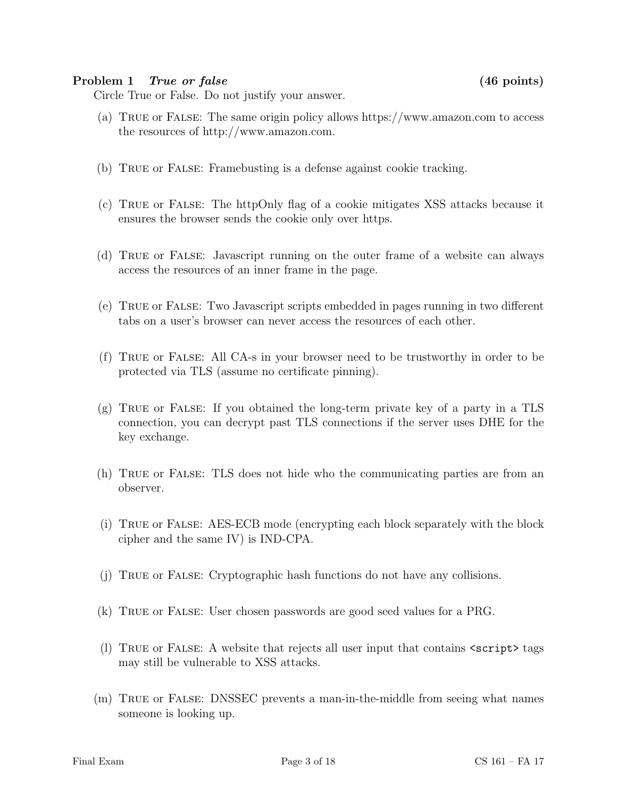#### Problem 1 True or false (46 points)

Circle True or False. Do not justify your answer.

- (a) True or False: The same origin policy allows https://www.amazon.com to access the resources of http://www.amazon.com.
- (b) True or False: Framebusting is a defense against cookie tracking.
- (c) True or False: The httpOnly flag of a cookie mitigates XSS attacks because it ensures the browser sends the cookie only over https.
- (d) True or False: Javascript running on the outer frame of a website can always access the resources of an inner frame in the page.
- (e) True or False: Two Javascript scripts embedded in pages running in two different tabs on a user's browser can never access the resources of each other.
- (f) True or False: All CA-s in your browser need to be trustworthy in order to be protected via TLS (assume no certificate pinning).
- (g) True or False: If you obtained the long-term private key of a party in a TLS connection, you can decrypt past TLS connections if the server uses DHE for the key exchange.
- (h) True or False: TLS does not hide who the communicating parties are from an observer.
- (i) True or False: AES-ECB mode (encrypting each block separately with the block cipher and the same IV) is IND-CPA.
- (j) True or False: Cryptographic hash functions do not have any collisions.
- (k) True or False: User chosen passwords are good seed values for a PRG.
- (l) True or False: A website that rejects all user input that contains <script> tags may still be vulnerable to XSS attacks.
- (m) True or False: DNSSEC prevents a man-in-the-middle from seeing what names someone is looking up.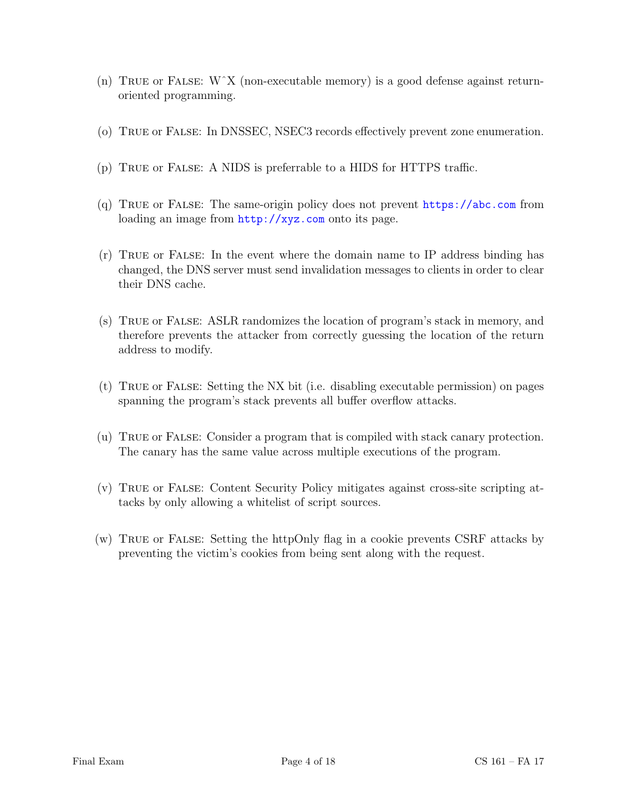- (n) TRUE or FALSE:  $W^{\dagger}X$  (non-executable memory) is a good defense against returnoriented programming.
- (o) True or False: In DNSSEC, NSEC3 records effectively prevent zone enumeration.
- (p) True or False: A NIDS is preferrable to a HIDS for HTTPS traffic.
- (q) True or False: The same-origin policy does not prevent <https://abc.com> from loading an image from  $http://xyz.com$  onto its page.
- (r) True or False: In the event where the domain name to IP address binding has changed, the DNS server must send invalidation messages to clients in order to clear their DNS cache.
- (s) True or False: ASLR randomizes the location of program's stack in memory, and therefore prevents the attacker from correctly guessing the location of the return address to modify.
- (t) True or False: Setting the NX bit (i.e. disabling executable permission) on pages spanning the program's stack prevents all buffer overflow attacks.
- (u) True or False: Consider a program that is compiled with stack canary protection. The canary has the same value across multiple executions of the program.
- (v) True or False: Content Security Policy mitigates against cross-site scripting attacks by only allowing a whitelist of script sources.
- (w) True or False: Setting the httpOnly flag in a cookie prevents CSRF attacks by preventing the victim's cookies from being sent along with the request.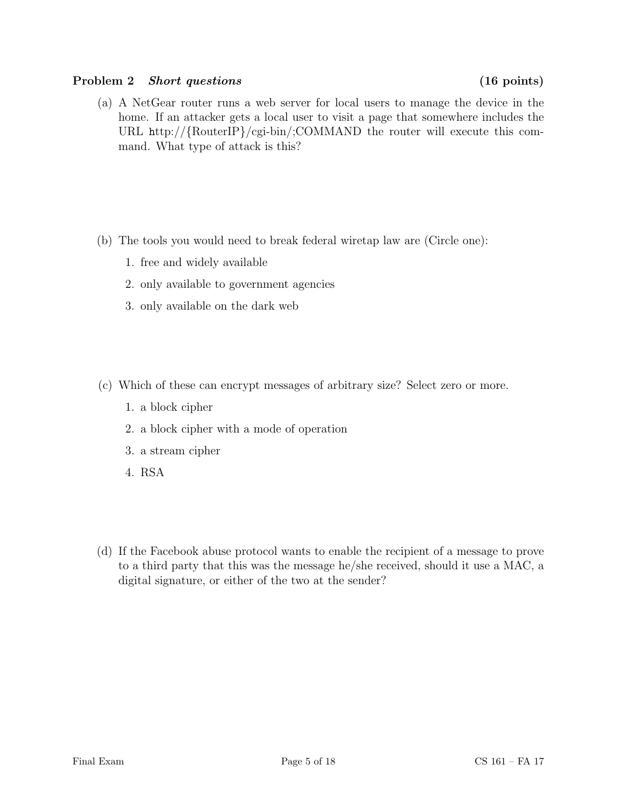### Problem 2 Short questions (16 points)

(a) A NetGear router runs a web server for local users to manage the device in the home. If an attacker gets a local user to visit a page that somewhere includes the URL http://{RouterIP}/cgi-bin/;COMMAND the router will execute this command. What type of attack is this?

- (b) The tools you would need to break federal wiretap law are (Circle one):
	- 1. free and widely available
	- 2. only available to government agencies
	- 3. only available on the dark web
- (c) Which of these can encrypt messages of arbitrary size? Select zero or more.
	- 1. a block cipher
	- 2. a block cipher with a mode of operation
	- 3. a stream cipher
	- 4. RSA
- (d) If the Facebook abuse protocol wants to enable the recipient of a message to prove to a third party that this was the message he/she received, should it use a MAC, a digital signature, or either of the two at the sender?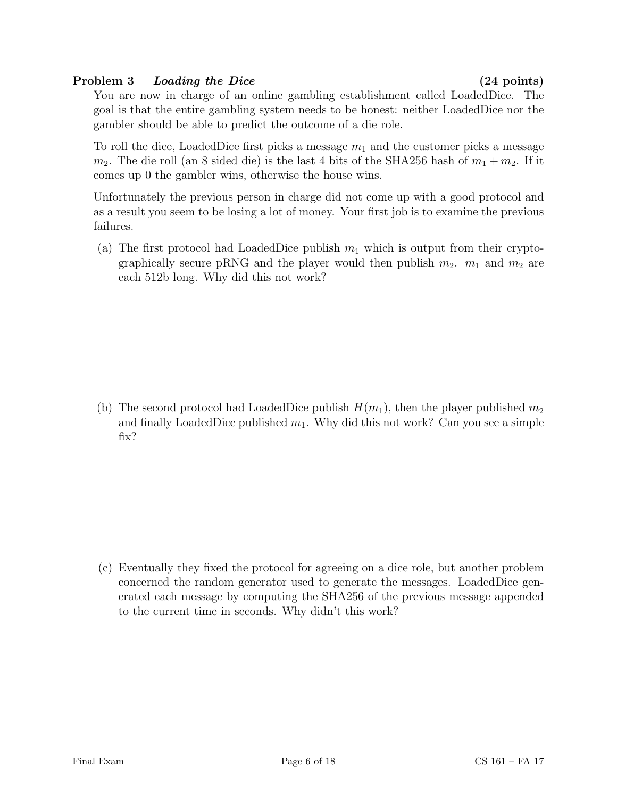# Problem 3 Loading the Dice (24 points)

You are now in charge of an online gambling establishment called LoadedDice. The goal is that the entire gambling system needs to be honest: neither LoadedDice nor the gambler should be able to predict the outcome of a die role.

To roll the dice, LoadedDice first picks a message  $m_1$  and the customer picks a message  $m_2$ . The die roll (an 8 sided die) is the last 4 bits of the SHA256 hash of  $m_1 + m_2$ . If it comes up 0 the gambler wins, otherwise the house wins.

Unfortunately the previous person in charge did not come up with a good protocol and as a result you seem to be losing a lot of money. Your first job is to examine the previous failures.

(a) The first protocol had LoadedDice publish  $m_1$  which is output from their cryptographically secure pRNG and the player would then publish  $m_2$ .  $m_1$  and  $m_2$  are each 512b long. Why did this not work?

(b) The second protocol had LoadedDice publish  $H(m_1)$ , then the player published  $m_2$ and finally LoadedDice published  $m_1$ . Why did this not work? Can you see a simple fix?

(c) Eventually they fixed the protocol for agreeing on a dice role, but another problem concerned the random generator used to generate the messages. LoadedDice generated each message by computing the SHA256 of the previous message appended to the current time in seconds. Why didn't this work?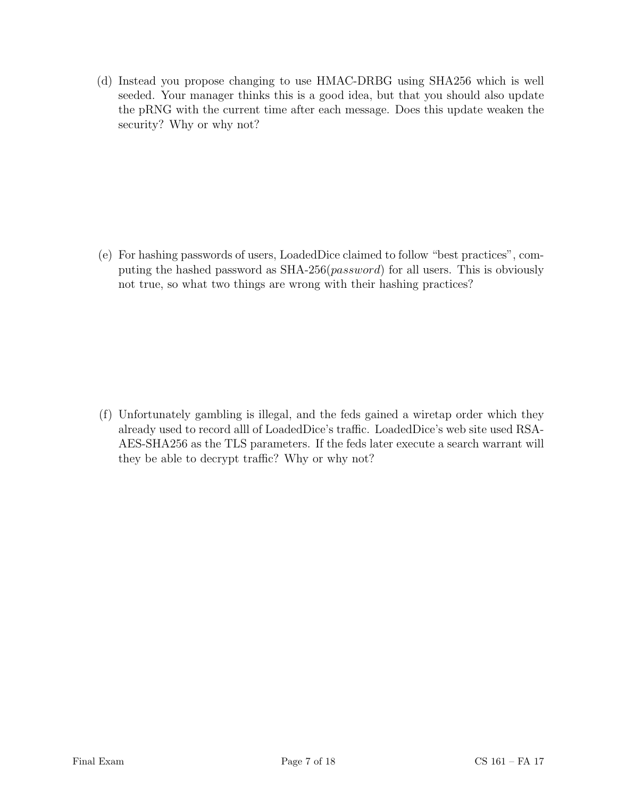(d) Instead you propose changing to use HMAC-DRBG using SHA256 which is well seeded. Your manager thinks this is a good idea, but that you should also update the pRNG with the current time after each message. Does this update weaken the security? Why or why not?

(e) For hashing passwords of users, LoadedDice claimed to follow "best practices", computing the hashed password as  $SHA-256(password)$  for all users. This is obviously not true, so what two things are wrong with their hashing practices?

(f) Unfortunately gambling is illegal, and the feds gained a wiretap order which they already used to record alll of LoadedDice's traffic. LoadedDice's web site used RSA-AES-SHA256 as the TLS parameters. If the feds later execute a search warrant will they be able to decrypt traffic? Why or why not?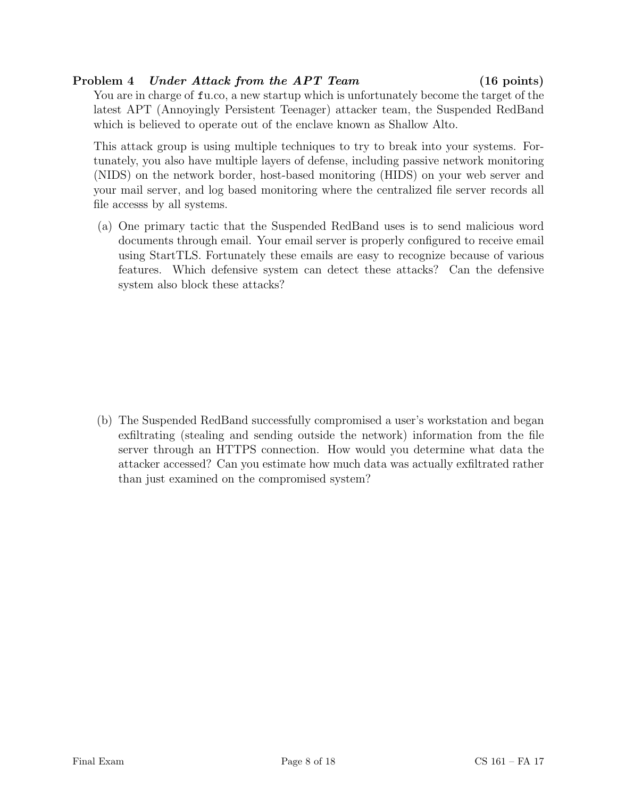# Problem 4 Under Attack from the APT Team (16 points)

You are in charge of fu.co, a new startup which is unfortunately become the target of the latest APT (Annoyingly Persistent Teenager) attacker team, the Suspended RedBand which is believed to operate out of the enclave known as Shallow Alto.

This attack group is using multiple techniques to try to break into your systems. Fortunately, you also have multiple layers of defense, including passive network monitoring (NIDS) on the network border, host-based monitoring (HIDS) on your web server and your mail server, and log based monitoring where the centralized file server records all file accesss by all systems.

(a) One primary tactic that the Suspended RedBand uses is to send malicious word documents through email. Your email server is properly configured to receive email using StartTLS. Fortunately these emails are easy to recognize because of various features. Which defensive system can detect these attacks? Can the defensive system also block these attacks?

(b) The Suspended RedBand successfully compromised a user's workstation and began exfiltrating (stealing and sending outside the network) information from the file server through an HTTPS connection. How would you determine what data the attacker accessed? Can you estimate how much data was actually exfiltrated rather than just examined on the compromised system?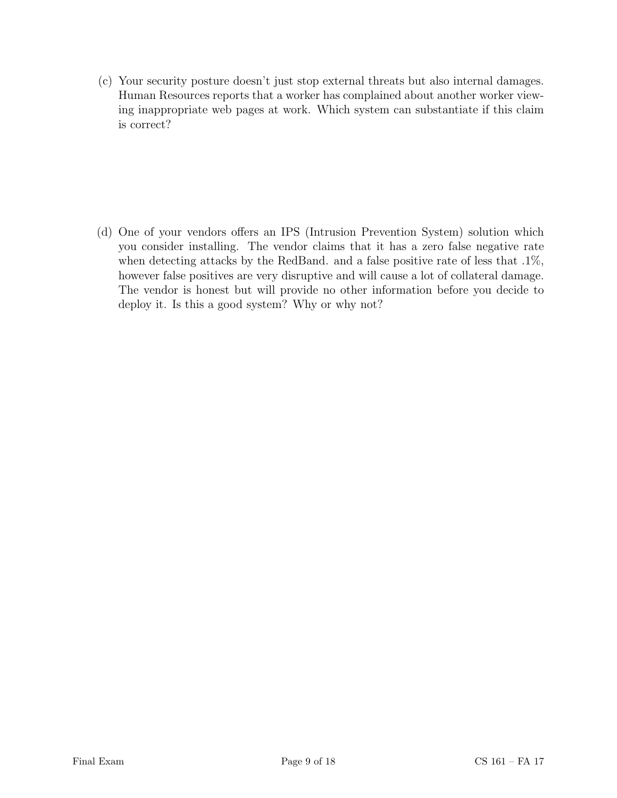(c) Your security posture doesn't just stop external threats but also internal damages. Human Resources reports that a worker has complained about another worker viewing inappropriate web pages at work. Which system can substantiate if this claim is correct?

(d) One of your vendors offers an IPS (Intrusion Prevention System) solution which you consider installing. The vendor claims that it has a zero false negative rate when detecting attacks by the RedBand. and a false positive rate of less that  $.1\%$ , however false positives are very disruptive and will cause a lot of collateral damage. The vendor is honest but will provide no other information before you decide to deploy it. Is this a good system? Why or why not?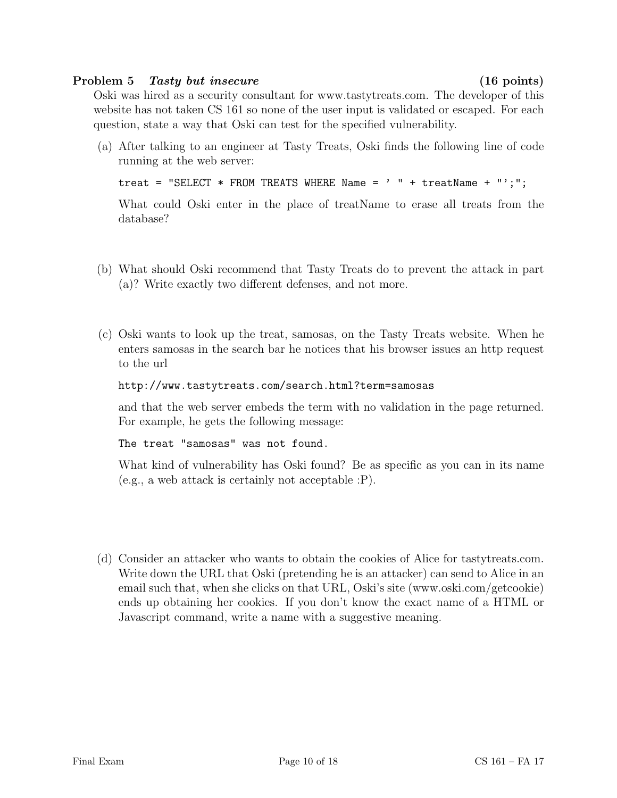### Problem 5 Tasty but insecure (16 points)

Oski was hired as a security consultant for www.tastytreats.com. The developer of this website has not taken CS 161 so none of the user input is validated or escaped. For each question, state a way that Oski can test for the specified vulnerability.

(a) After talking to an engineer at Tasty Treats, Oski finds the following line of code running at the web server:

```
treat = "SELECT * FROM TREATS WHERE Name = ' " + treatName + "';";
```
What could Oski enter in the place of treatName to erase all treats from the database?

- (b) What should Oski recommend that Tasty Treats do to prevent the attack in part (a)? Write exactly two different defenses, and not more.
- (c) Oski wants to look up the treat, samosas, on the Tasty Treats website. When he enters samosas in the search bar he notices that his browser issues an http request to the url

```
http://www.tastytreats.com/search.html?term=samosas
```
and that the web server embeds the term with no validation in the page returned. For example, he gets the following message:

The treat "samosas" was not found.

What kind of vulnerability has Oski found? Be as specific as you can in its name (e.g., a web attack is certainly not acceptable :P).

(d) Consider an attacker who wants to obtain the cookies of Alice for tastytreats.com. Write down the URL that Oski (pretending he is an attacker) can send to Alice in an email such that, when she clicks on that URL, Oski's site (www.oski.com/getcookie) ends up obtaining her cookies. If you don't know the exact name of a HTML or Javascript command, write a name with a suggestive meaning.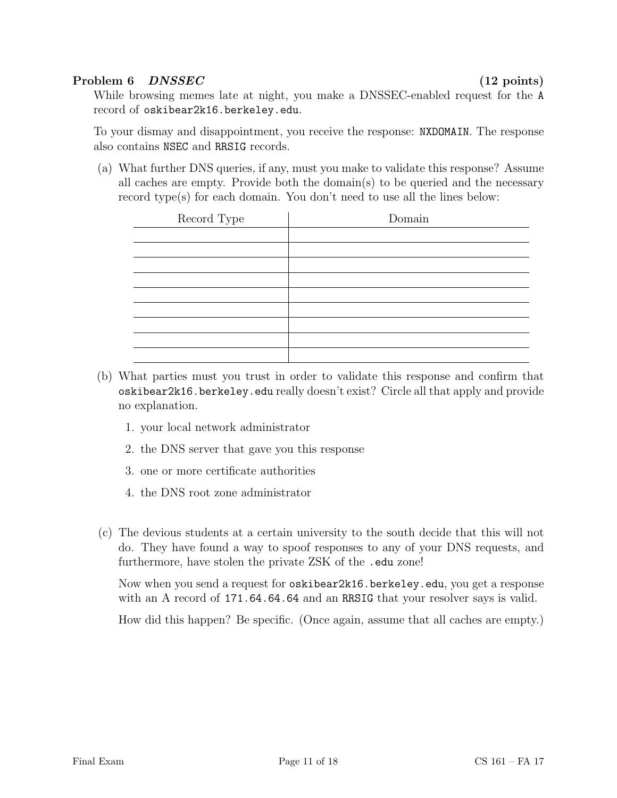# Problem 6 DNSSEC (12 points)

While browsing memes late at night, you make a DNSSEC-enabled request for the A record of oskibear2k16.berkeley.edu.

To your dismay and disappointment, you receive the response: NXDOMAIN. The response also contains NSEC and RRSIG records.

(a) What further DNS queries, if any, must you make to validate this response? Assume all caches are empty. Provide both the domain(s) to be queried and the necessary record type(s) for each domain. You don't need to use all the lines below:

| Record Type | Domain |
|-------------|--------|
|             |        |
|             |        |
|             |        |
|             |        |
|             |        |
|             |        |
|             |        |
|             |        |
|             |        |

- (b) What parties must you trust in order to validate this response and confirm that oskibear2k16.berkeley.edu really doesn't exist? Circle all that apply and provide no explanation.
	- 1. your local network administrator
	- 2. the DNS server that gave you this response
	- 3. one or more certificate authorities
	- 4. the DNS root zone administrator
- (c) The devious students at a certain university to the south decide that this will not do. They have found a way to spoof responses to any of your DNS requests, and furthermore, have stolen the private ZSK of the .edu zone!

Now when you send a request for oskibear2k16.berkeley.edu, you get a response with an A record of 171.64.64.64 and an RRSIG that your resolver says is valid.

How did this happen? Be specific. (Once again, assume that all caches are empty.)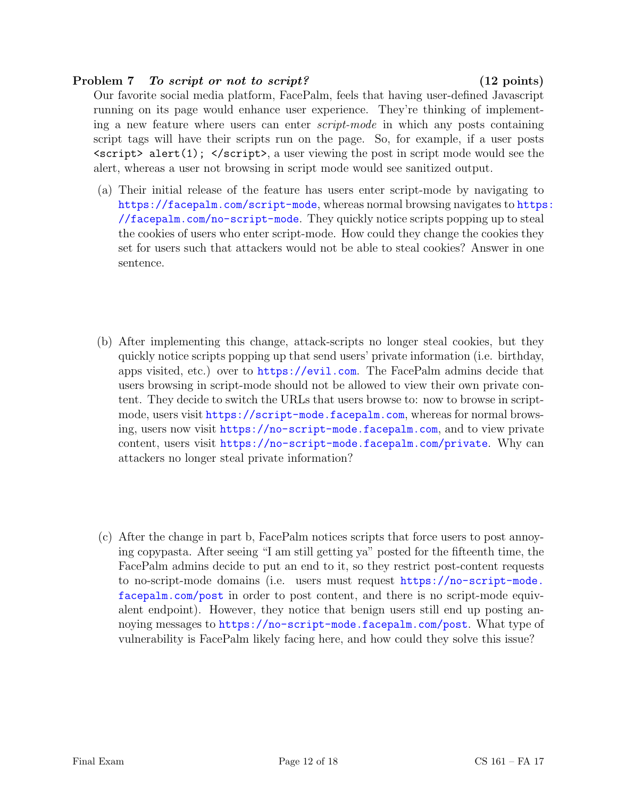### Problem 7 To script or not to script? (12 points)

Our favorite social media platform, FacePalm, feels that having user-defined Javascript running on its page would enhance user experience. They're thinking of implementing a new feature where users can enter script-mode in which any posts containing script tags will have their scripts run on the page. So, for example, if a user posts  $\langle \text{script } \rangle$  alert(1);  $\langle \text{script } \rangle$ , a user viewing the post in script mode would see the alert, whereas a user not browsing in script mode would see sanitized output.

- (a) Their initial release of the feature has users enter script-mode by navigating to <https://facepalm.com/script-mode>, whereas normal browsing navigates to [https](https://facepalm.com/no-script-mode): [//facepalm.com/no-script-mode](https://facepalm.com/no-script-mode). They quickly notice scripts popping up to steal the cookies of users who enter script-mode. How could they change the cookies they set for users such that attackers would not be able to steal cookies? Answer in one sentence.
- (b) After implementing this change, attack-scripts no longer steal cookies, but they quickly notice scripts popping up that send users' private information (i.e. birthday, apps visited, etc.) over to <https://evil.com>. The FacePalm admins decide that users browsing in script-mode should not be allowed to view their own private content. They decide to switch the URLs that users browse to: now to browse in scriptmode, users visit [https://script-mode.facepalm.com](https ://script-mode.facepalm.com), whereas for normal browsing, users now visit <https://no-script-mode.facepalm.com>, and to view private content, users visit <https://no-script-mode.facepalm.com/private>. Why can attackers no longer steal private information?
- (c) After the change in part b, FacePalm notices scripts that force users to post annoying copypasta. After seeing "I am still getting ya" posted for the fifteenth time, the FacePalm admins decide to put an end to it, so they restrict post-content requests to no-script-mode domains (i.e. users must request [https://no-script-mode.](https://no-script-mode.facepalm.com/post) [facepalm.com/post](https://no-script-mode.facepalm.com/post) in order to post content, and there is no script-mode equivalent endpoint). However, they notice that benign users still end up posting annoying messages to <https://no-script-mode.facepalm.com/post>. What type of vulnerability is FacePalm likely facing here, and how could they solve this issue?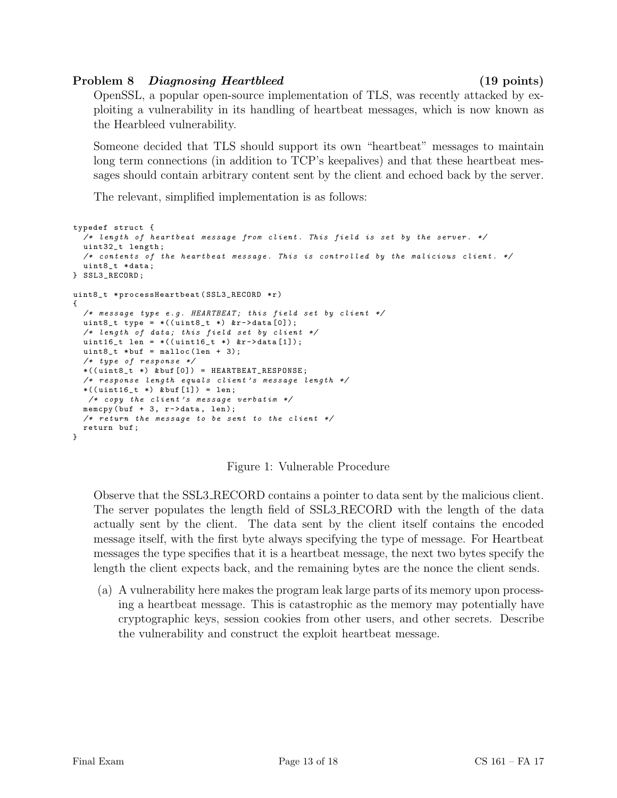# Problem 8 Diagnosing Heartbleed (19 points)

OpenSSL, a popular open-source implementation of TLS, was recently attacked by exploiting a vulnerability in its handling of heartbeat messages, which is now known as the Hearbleed vulnerability.

Someone decided that TLS should support its own "heartbeat" messages to maintain long term connections (in addition to TCP's keepalives) and that these heartbeat messages should contain arbitrary content sent by the client and echoed back by the server.

The relevant, simplified implementation is as follows:

```
typedef struct {
  /* length of heartbeat message from client. This field is set by the server. */uint32_t length ;
  /* contents of the heartbeat message. This is controlled by the malicious client. */
  uint8_t * data ;
} SSL3_RECORD ;
uint8_t * processHeartbeat ( SSL3_RECORD *r)
{
  /* message type e.g. HEARTBEAT; this field set by client */uint8_t type = *((uint8_t *) *r - >data[0]);/* length of data; this field set by client */
  uint16_t len = *((uint16_t *) &r->data[1]);
  uint8_t * but = malloc(len + 3);/* type of response */
  *((\text{uint8}_t *)\ \& \text{buf}[0]) = \text{HEARTBEAT\_RESPONSE};/* response length equals client 's message length */
  *((\text{uint16}_t *)\ \& \text{buf}[1]) = \text{len};/* copy the client's message verbatim */memcpy (buf +3, r ->data, len);
  /* return the message to be sent to the client */return buf ;
}
```
Figure 1: Vulnerable Procedure

Observe that the SSL3 RECORD contains a pointer to data sent by the malicious client. The server populates the length field of SSL3 RECORD with the length of the data actually sent by the client. The data sent by the client itself contains the encoded message itself, with the first byte always specifying the type of message. For Heartbeat messages the type specifies that it is a heartbeat message, the next two bytes specify the length the client expects back, and the remaining bytes are the nonce the client sends.

(a) A vulnerability here makes the program leak large parts of its memory upon processing a heartbeat message. This is catastrophic as the memory may potentially have cryptographic keys, session cookies from other users, and other secrets. Describe the vulnerability and construct the exploit heartbeat message.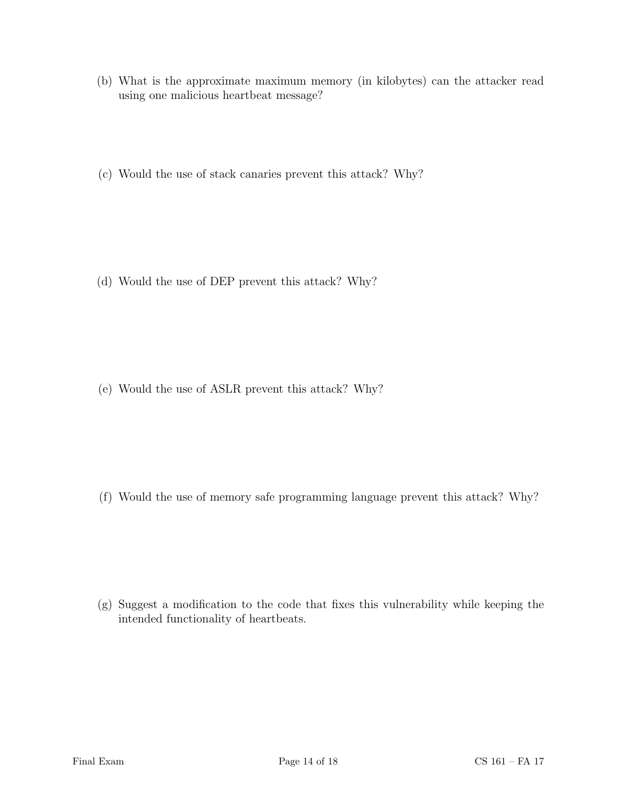- (b) What is the approximate maximum memory (in kilobytes) can the attacker read using one malicious heartbeat message?
- (c) Would the use of stack canaries prevent this attack? Why?

(d) Would the use of DEP prevent this attack? Why?

(e) Would the use of ASLR prevent this attack? Why?

(f) Would the use of memory safe programming language prevent this attack? Why?

(g) Suggest a modification to the code that fixes this vulnerability while keeping the intended functionality of heartbeats.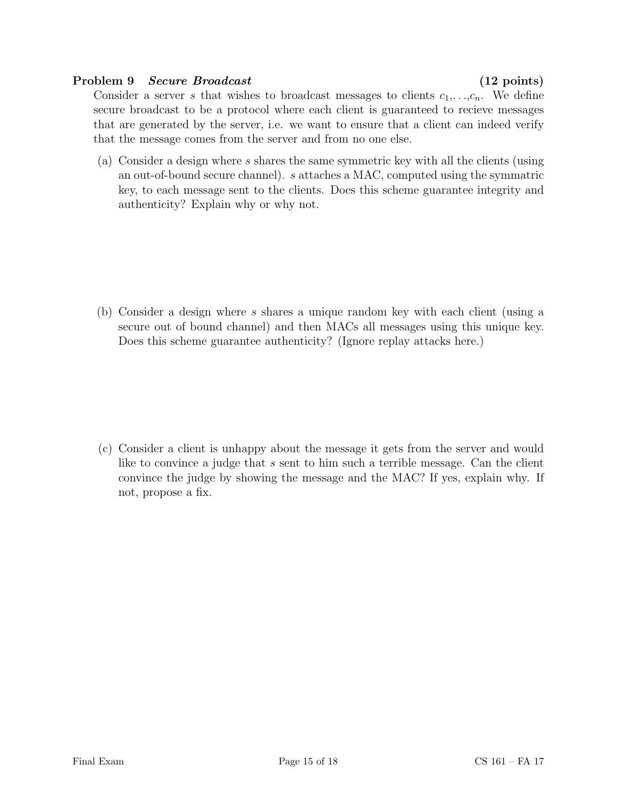### Problem 9 Secure Broadcast (12 points)

Consider a server s that wishes to broadcast messages to clients  $c_1, \ldots, c_n$ . We define secure broadcast to be a protocol where each client is guaranteed to recieve messages that are generated by the server, i.e. we want to ensure that a client can indeed verify that the message comes from the server and from no one else.

(a) Consider a design where s shares the same symmetric key with all the clients (using an out-of-bound secure channel). s attaches a MAC, computed using the symmatric key, to each message sent to the clients. Does this scheme guarantee integrity and authenticity? Explain why or why not.

(b) Consider a design where s shares a unique random key with each client (using a secure out of bound channel) and then MACs all messages using this unique key. Does this scheme guarantee authenticity? (Ignore replay attacks here.)

(c) Consider a client is unhappy about the message it gets from the server and would like to convince a judge that s sent to him such a terrible message. Can the client convince the judge by showing the message and the MAC? If yes, explain why. If not, propose a fix.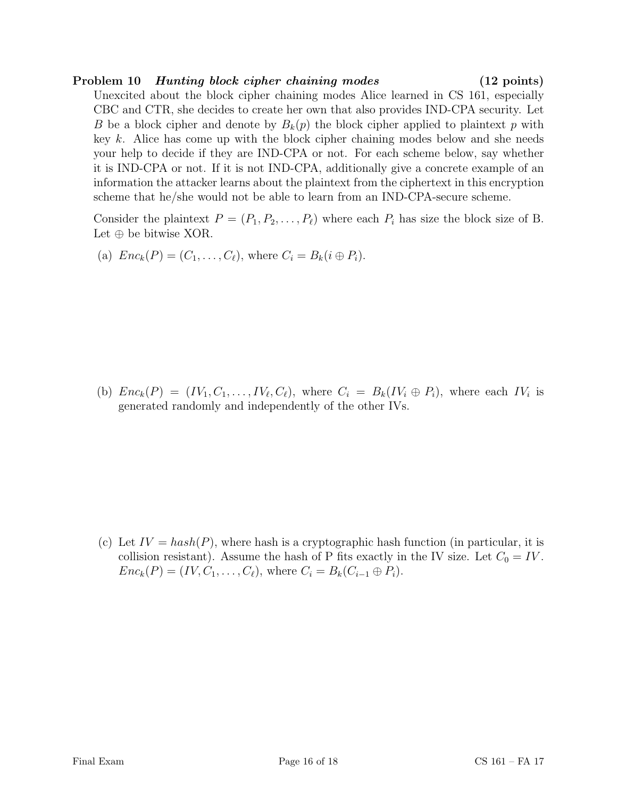# Problem 10 Hunting block cipher chaining modes (12 points)

Unexcited about the block cipher chaining modes Alice learned in CS 161, especially CBC and CTR, she decides to create her own that also provides IND-CPA security. Let B be a block cipher and denote by  $B_k(p)$  the block cipher applied to plaintext p with key k. Alice has come up with the block cipher chaining modes below and she needs your help to decide if they are IND-CPA or not. For each scheme below, say whether it is IND-CPA or not. If it is not IND-CPA, additionally give a concrete example of an information the attacker learns about the plaintext from the ciphertext in this encryption scheme that he/she would not be able to learn from an IND-CPA-secure scheme.

Consider the plaintext  $P = (P_1, P_2, \ldots, P_\ell)$  where each  $P_i$  has size the block size of B. Let  $\oplus$  be bitwise XOR.

(a) 
$$
Enc_k(P) = (C_1, \ldots, C_\ell)
$$
, where  $C_i = B_k(i \oplus P_i)$ .

(b)  $Enc_k(P) = (IV_1, C_1, \ldots, IV_\ell, C_\ell)$ , where  $C_i = B_k(IV_i \oplus P_i)$ , where each  $IV_i$  is generated randomly and independently of the other IVs.

(c) Let  $IV = hash(P)$ , where hash is a cryptographic hash function (in particular, it is collision resistant). Assume the hash of P fits exactly in the IV size. Let  $C_0 = IV$ .  $Enc_k(P) = (IV, C_1, \ldots, C_\ell)$ , where  $C_i = B_k(C_{i-1} \oplus P_i)$ .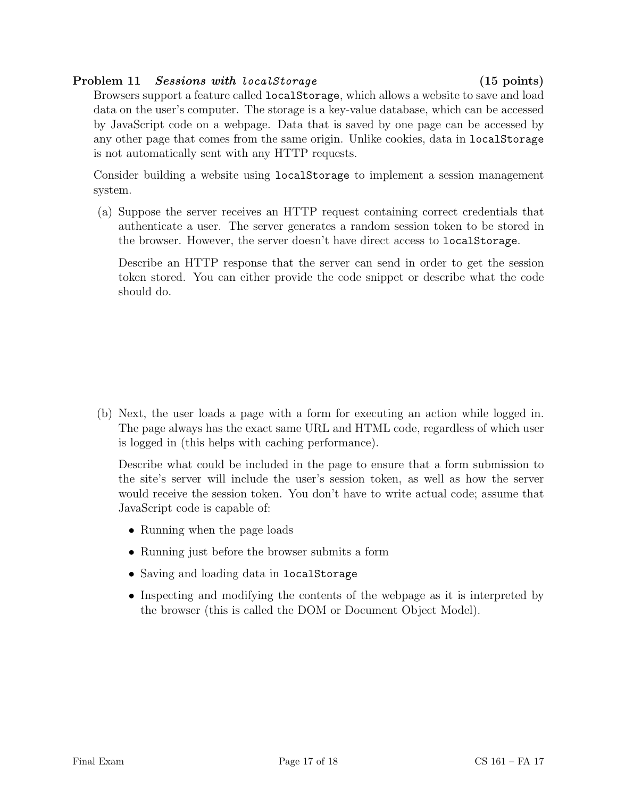# Problem 11 Sessions with localStorage (15 points)

Browsers support a feature called localStorage, which allows a website to save and load data on the user's computer. The storage is a key-value database, which can be accessed by JavaScript code on a webpage. Data that is saved by one page can be accessed by any other page that comes from the same origin. Unlike cookies, data in localStorage is not automatically sent with any HTTP requests.

Consider building a website using localStorage to implement a session management system.

(a) Suppose the server receives an HTTP request containing correct credentials that authenticate a user. The server generates a random session token to be stored in the browser. However, the server doesn't have direct access to localStorage.

Describe an HTTP response that the server can send in order to get the session token stored. You can either provide the code snippet or describe what the code should do.

(b) Next, the user loads a page with a form for executing an action while logged in. The page always has the exact same URL and HTML code, regardless of which user is logged in (this helps with caching performance).

Describe what could be included in the page to ensure that a form submission to the site's server will include the user's session token, as well as how the server would receive the session token. You don't have to write actual code; assume that JavaScript code is capable of:

- Running when the page loads
- Running just before the browser submits a form
- Saving and loading data in localStorage
- Inspecting and modifying the contents of the webpage as it is interpreted by the browser (this is called the DOM or Document Object Model).